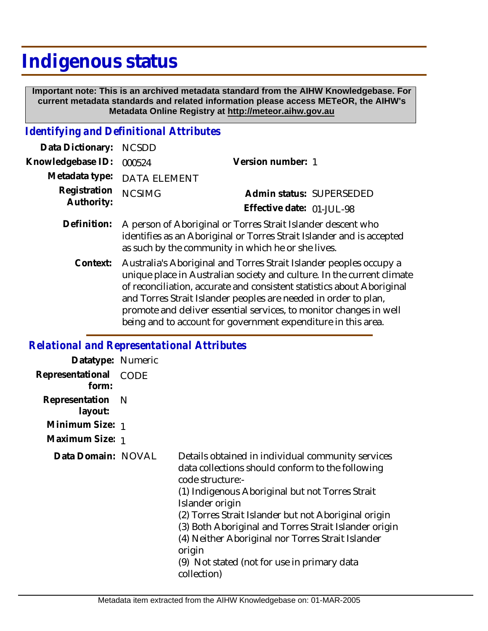## **Indigenous status**

 **Important note: This is an archived metadata standard from the AIHW Knowledgebase. For current metadata standards and related information please access METeOR, the AIHW's Metadata Online Registry at http://meteor.aihw.gov.au**

## *Identifying and Definitional Attributes*

| Data Dictionary: NCSDD   |                                                                          |                           |                          |
|--------------------------|--------------------------------------------------------------------------|---------------------------|--------------------------|
| Knowledgebase ID: 000524 |                                                                          | Version number: 1         |                          |
|                          | Metadata type: DATA ELEMENT                                              |                           |                          |
| Registration NCSIMG      |                                                                          |                           | Admin status: SUPERSEDED |
| Authority:               |                                                                          | Effective date: 01-JUL-98 |                          |
|                          | Definition: A person of Aboriginal or Torres Strait Islander descent who |                           |                          |

as such by the community in which he or she lives. Australia's Aboriginal and Torres Strait Islander peoples occupy a unique place in Australian society and culture. In the current climate of reconciliation, accurate and consistent statistics about Aboriginal and Torres Strait Islander peoples are needed in order to plan, promote and deliver essential services, to monitor changes in well being and to account for government expenditure in this area. **Context:**

identifies as an Aboriginal or Torres Strait Islander and is accepted

## *Relational and Representational Attributes*

| Datatype: Numeric         |             |                                                                                                                                                                                                                                                                                                                                                                                                                                               |
|---------------------------|-------------|-----------------------------------------------------------------------------------------------------------------------------------------------------------------------------------------------------------------------------------------------------------------------------------------------------------------------------------------------------------------------------------------------------------------------------------------------|
| Representational<br>form: | <b>CODE</b> |                                                                                                                                                                                                                                                                                                                                                                                                                                               |
| Representation<br>layout: | - N         |                                                                                                                                                                                                                                                                                                                                                                                                                                               |
| Minimum Size: 1           |             |                                                                                                                                                                                                                                                                                                                                                                                                                                               |
| Maximum Size: 1           |             |                                                                                                                                                                                                                                                                                                                                                                                                                                               |
| Data Domain: NOVAL        |             | Details obtained in individual community services<br>data collections should conform to the following<br>code structure:-<br>(1) Indigenous Aboriginal but not Torres Strait<br>Islander origin<br>(2) Torres Strait Islander but not Aboriginal origin<br>(3) Both Aboriginal and Torres Strait Islander origin<br>(4) Neither Aboriginal nor Torres Strait Islander<br>origin<br>(9) Not stated (not for use in primary data<br>collection) |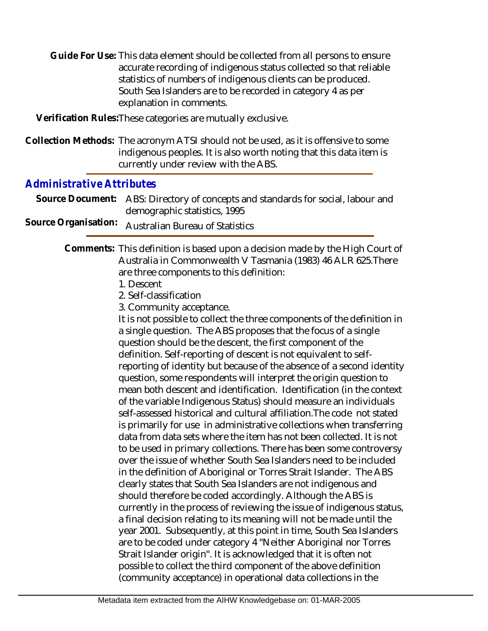Guide For Use: This data element should be collected from all persons to ensure accurate recording of indigenous status collected so that reliable statistics of numbers of indigenous clients can be produced. South Sea Islanders are to be recorded in category 4 as per explanation in comments.

**Verification Rules:**These categories are mutually exclusive.

Collection Methods: The acronym ATSI should not be used, as it is offensive to some indigenous peoples. It is also worth noting that this data item is currently under review with the ABS.

## *Administrative Attributes*

Source Document: ABS: Directory of concepts and standards for social, labour and demographic statistics, 1995

Source Organisation: Australian Bureau of Statistics

Comments: This definition is based upon a decision made by the High Court of Australia in Commonwealth V Tasmania (1983) 46 ALR 625.There are three components to this definition:

- 1. Descent
- 2. Self-classification
- 3. Community acceptance.

It is not possible to collect the three components of the definition in a single question. The ABS proposes that the focus of a single question should be the descent, the first component of the definition. Self-reporting of descent is not equivalent to selfreporting of identity but because of the absence of a second identity question, some respondents will interpret the origin question to mean both descent and identification. Identification (in the context of the variable Indigenous Status) should measure an individuals self-assessed historical and cultural affiliation.The code not stated is primarily for use in administrative collections when transferring data from data sets where the item has not been collected. It is not to be used in primary collections. There has been some controversy over the issue of whether South Sea Islanders need to be included in the definition of Aboriginal or Torres Strait Islander. The ABS clearly states that South Sea Islanders are not indigenous and should therefore be coded accordingly. Although the ABS is currently in the process of reviewing the issue of indigenous status, a final decision relating to its meaning will not be made until the year 2001. Subsequently, at this point in time, South Sea Islanders are to be coded under category 4 "Neither Aboriginal nor Torres Strait Islander origin". It is acknowledged that it is often not possible to collect the third component of the above definition (community acceptance) in operational data collections in the